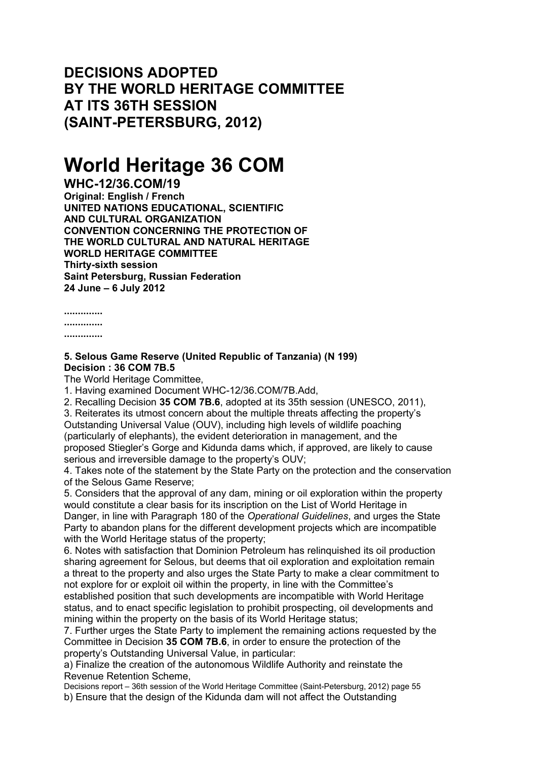**DECISIONS ADOPTED BY THE WORLD HERITAGE COMMITTEE AT ITS 36TH SESSION (SAINT-PETERSBURG, 2012)**

## **World Heritage 36 COM**

**WHC-12/36.COM/19 Original: English / French UNITED NATIONS EDUCATIONAL, SCIENTIFIC AND CULTURAL ORGANIZATION CONVENTION CONCERNING THE PROTECTION OF THE WORLD CULTURAL AND NATURAL HERITAGE WORLD HERITAGE COMMITTEE Thirty-sixth session Saint Petersburg, Russian Federation 24 June – 6 July 2012**

**..............**

**..............**

**..............**

## **5. Selous Game Reserve (United Republic of Tanzania) (N 199) Decision : 36 COM 7B.5**

The World Heritage Committee,

1. Having examined Document WHC-12/36.COM/7B.Add,

2. Recalling Decision **35 COM 7B.6**, adopted at its 35th session (UNESCO, 2011),

3. Reiterates its utmost concern about the multiple threats affecting the property's Outstanding Universal Value (OUV), including high levels of wildlife poaching (particularly of elephants), the evident deterioration in management, and the proposed Stiegler's Gorge and Kidunda dams which, if approved, are likely to cause serious and irreversible damage to the property's OUV;

4. Takes note of the statement by the State Party on the protection and the conservation of the Selous Game Reserve;

5. Considers that the approval of any dam, mining or oil exploration within the property would constitute a clear basis for its inscription on the List of World Heritage in Danger, in line with Paragraph 180 of the *Operational Guidelines*, and urges the State Party to abandon plans for the different development projects which are incompatible with the World Heritage status of the property;

6. Notes with satisfaction that Dominion Petroleum has relinquished its oil production sharing agreement for Selous, but deems that oil exploration and exploitation remain a threat to the property and also urges the State Party to make a clear commitment to not explore for or exploit oil within the property, in line with the Committee's established position that such developments are incompatible with World Heritage status, and to enact specific legislation to prohibit prospecting, oil developments and mining within the property on the basis of its World Heritage status;

7. Further urges the State Party to implement the remaining actions requested by the Committee in Decision **35 COM 7B.6**, in order to ensure the protection of the property's Outstanding Universal Value, in particular:

a) Finalize the creation of the autonomous Wildlife Authority and reinstate the Revenue Retention Scheme,

Decisions report – 36th session of the World Heritage Committee (Saint-Petersburg, 2012) page 55 b) Ensure that the design of the Kidunda dam will not affect the Outstanding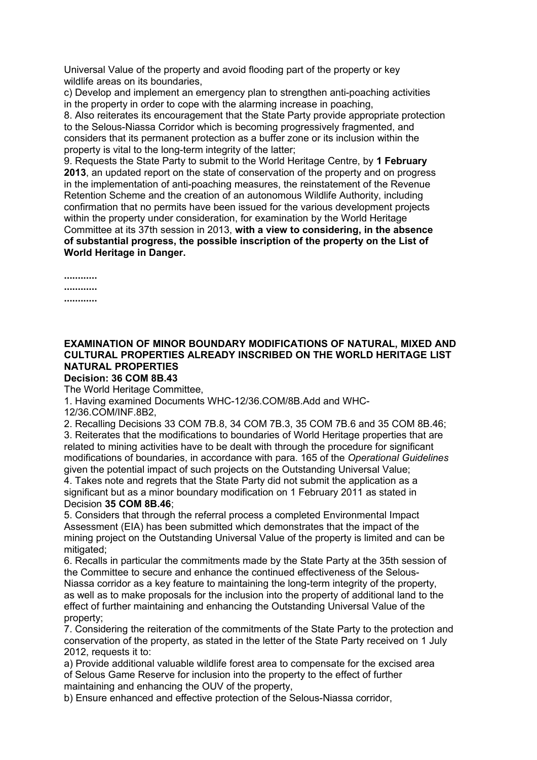Universal Value of the property and avoid flooding part of the property or key wildlife areas on its boundaries.

c) Develop and implement an emergency plan to strengthen anti-poaching activities in the property in order to cope with the alarming increase in poaching,

8. Also reiterates its encouragement that the State Party provide appropriate protection to the Selous-Niassa Corridor which is becoming progressively fragmented, and considers that its permanent protection as a buffer zone or its inclusion within the property is vital to the long-term integrity of the latter;

9. Requests the State Party to submit to the World Heritage Centre, by **1 February 2013**, an updated report on the state of conservation of the property and on progress in the implementation of anti-poaching measures, the reinstatement of the Revenue Retention Scheme and the creation of an autonomous Wildlife Authority, including confirmation that no permits have been issued for the various development projects within the property under consideration, for examination by the World Heritage Committee at its 37th session in 2013, **with a view to considering, in the absence of substantial progress, the possible inscription of the property on the List of World Heritage in Danger.**

**............ ............**

**............**

## **EXAMINATION OF MINOR BOUNDARY MODIFICATIONS OF NATURAL, MIXED AND CULTURAL PROPERTIES ALREADY INSCRIBED ON THE WORLD HERITAGE LIST NATURAL PROPERTIES**

**Decision: 36 COM 8B.43**

The World Heritage Committee,

1. Having examined Documents WHC-12/36.COM/8B.Add and WHC-

12/36.COM/INF.8B2,

2. Recalling Decisions 33 COM 7B.8, 34 COM 7B.3, 35 COM 7B.6 and 35 COM 8B.46; 3. Reiterates that the modifications to boundaries of World Heritage properties that are related to mining activities have to be dealt with through the procedure for significant modifications of boundaries, in accordance with para. 165 of the *Operational Guidelines* given the potential impact of such projects on the Outstanding Universal Value;

4. Takes note and regrets that the State Party did not submit the application as a significant but as a minor boundary modification on 1 February 2011 as stated in Decision **35 COM 8B.46**;

5. Considers that through the referral process a completed Environmental Impact Assessment (EIA) has been submitted which demonstrates that the impact of the mining project on the Outstanding Universal Value of the property is limited and can be mitigated:

6. Recalls in particular the commitments made by the State Party at the 35th session of the Committee to secure and enhance the continued effectiveness of the Selous-Niassa corridor as a key feature to maintaining the long-term integrity of the property, as well as to make proposals for the inclusion into the property of additional land to the effect of further maintaining and enhancing the Outstanding Universal Value of the property;

7. Considering the reiteration of the commitments of the State Party to the protection and conservation of the property, as stated in the letter of the State Party received on 1 July 2012, requests it to:

a) Provide additional valuable wildlife forest area to compensate for the excised area of Selous Game Reserve for inclusion into the property to the effect of further maintaining and enhancing the OUV of the property,

b) Ensure enhanced and effective protection of the Selous-Niassa corridor,